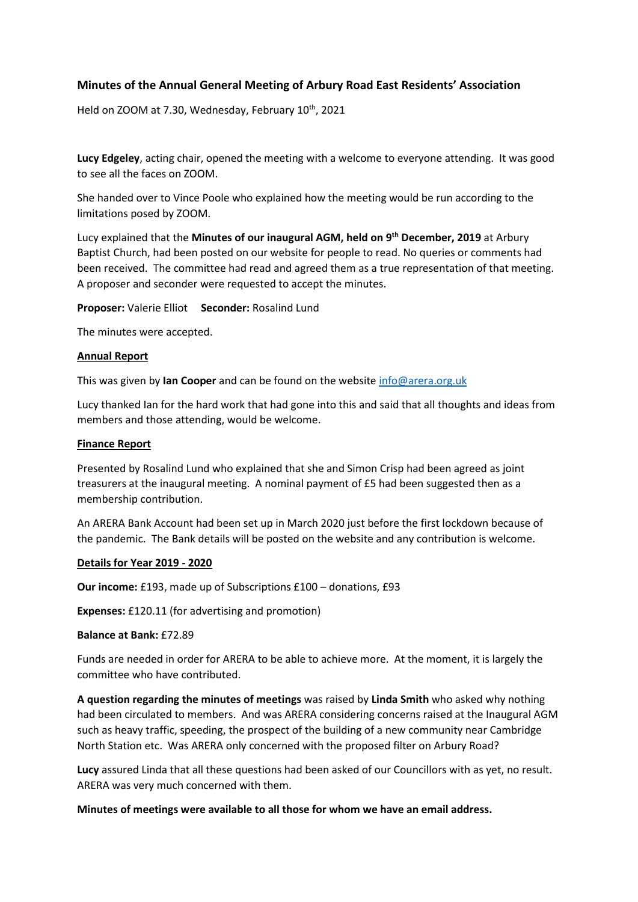# **Minutes of the Annual General Meeting of Arbury Road East Residents' Association**

Held on ZOOM at 7.30, Wednesday, February 10<sup>th</sup>, 2021

**Lucy Edgeley**, acting chair, opened the meeting with a welcome to everyone attending. It was good to see all the faces on ZOOM.

She handed over to Vince Poole who explained how the meeting would be run according to the limitations posed by ZOOM.

Lucy explained that the **Minutes of our inaugural AGM, held on 9th December, 2019** at Arbury Baptist Church, had been posted on our website for people to read. No queries or comments had been received. The committee had read and agreed them as a true representation of that meeting. A proposer and seconder were requested to accept the minutes.

**Proposer:** Valerie Elliot **Seconder:** Rosalind Lund

The minutes were accepted.

#### **Annual Report**

This was given by **Ian Cooper** and can be found on the websit[e info@arera.org.uk](mailto:info@arera.org.uk)

Lucy thanked Ian for the hard work that had gone into this and said that all thoughts and ideas from members and those attending, would be welcome.

#### **Finance Report**

Presented by Rosalind Lund who explained that she and Simon Crisp had been agreed as joint treasurers at the inaugural meeting. A nominal payment of £5 had been suggested then as a membership contribution.

An ARERA Bank Account had been set up in March 2020 just before the first lockdown because of the pandemic. The Bank details will be posted on the website and any contribution is welcome.

#### **Details for Year 2019 - 2020**

**Our income:** £193, made up of Subscriptions £100 – donations, £93

**Expenses:** £120.11 (for advertising and promotion)

### **Balance at Bank:** £72.89

Funds are needed in order for ARERA to be able to achieve more. At the moment, it is largely the committee who have contributed.

**A question regarding the minutes of meetings** was raised by **Linda Smith** who asked why nothing had been circulated to members. And was ARERA considering concerns raised at the Inaugural AGM such as heavy traffic, speeding, the prospect of the building of a new community near Cambridge North Station etc. Was ARERA only concerned with the proposed filter on Arbury Road?

**Lucy** assured Linda that all these questions had been asked of our Councillors with as yet, no result. ARERA was very much concerned with them.

### **Minutes of meetings were available to all those for whom we have an email address.**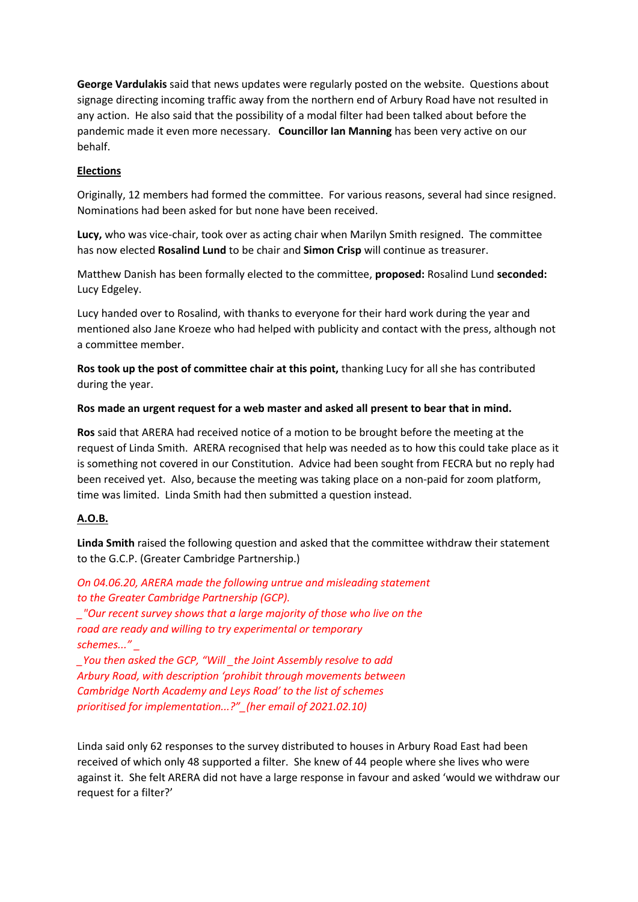**George Vardulakis** said that news updates were regularly posted on the website. Questions about signage directing incoming traffic away from the northern end of Arbury Road have not resulted in any action. He also said that the possibility of a modal filter had been talked about before the pandemic made it even more necessary. **Councillor Ian Manning** has been very active on our behalf.

# **Elections**

Originally, 12 members had formed the committee. For various reasons, several had since resigned. Nominations had been asked for but none have been received.

**Lucy,** who was vice-chair, took over as acting chair when Marilyn Smith resigned. The committee has now elected **Rosalind Lund** to be chair and **Simon Crisp** will continue as treasurer.

Matthew Danish has been formally elected to the committee, **proposed:** Rosalind Lund **seconded:** Lucy Edgeley.

Lucy handed over to Rosalind, with thanks to everyone for their hard work during the year and mentioned also Jane Kroeze who had helped with publicity and contact with the press, although not a committee member.

**Ros took up the post of committee chair at this point,** thanking Lucy for all she has contributed during the year.

### **Ros made an urgent request for a web master and asked all present to bear that in mind.**

**Ros** said that ARERA had received notice of a motion to be brought before the meeting at the request of Linda Smith. ARERA recognised that help was needed as to how this could take place as it is something not covered in our Constitution. Advice had been sought from FECRA but no reply had been received yet. Also, because the meeting was taking place on a non-paid for zoom platform, time was limited. Linda Smith had then submitted a question instead.

# **A.O.B.**

**Linda Smith** raised the following question and asked that the committee withdraw their statement to the G.C.P. (Greater Cambridge Partnership.)

*On 04.06.20, ARERA made the following untrue and misleading statement to the Greater Cambridge Partnership (GCP). \_"Our recent survey shows that a large majority of those who live on the road are ready and willing to try experimental or temporary*

*schemes..." \_*

*\_You then asked the GCP, "Will \_the Joint Assembly resolve to add Arbury Road, with description 'prohibit through movements between Cambridge North Academy and Leys Road' to the list of schemes prioritised for implementation...?"\_(her email of 2021.02.10)*

Linda said only 62 responses to the survey distributed to houses in Arbury Road East had been received of which only 48 supported a filter. She knew of 44 people where she lives who were against it. She felt ARERA did not have a large response in favour and asked 'would we withdraw our request for a filter?'